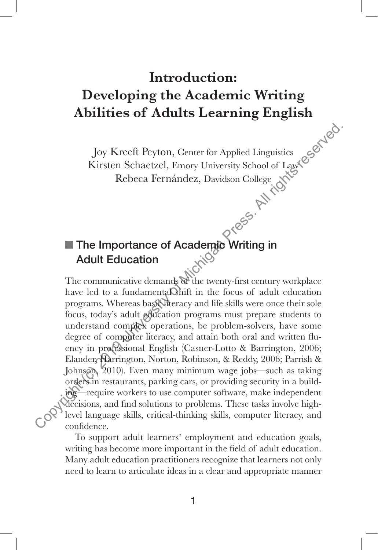## **Introduction:**

## **Developing the Academic Writing Abilities of Adults Learning English**

Joy Kreeft Peyton, Center for Applied Linguistics Kirsten Schaetzel, Emory University School of Law Rebeca Fernández, Davidson College

# The Importance of Academic Writing in<br>Adult Education Adult Education

The communicative demands of the twenty-first century workplace have led to a fundamental shift in the focus of adult education programs. Whereas basiculteracy and life skills were once their sole focus, today's adult education programs must prepare students to understand complex operations, be problem-solvers, have some degree of computer literacy, and attain both oral and written fluency in professional English (Casner-Lotto & Barrington, 2006; Elander, Harrington, Norton, Robinson, & Reddy, 2006; Parrish & Johnson, 2010). Even many minimum wage jobs—such as taking orders in restaurants, parking cars, or providing security in a building—require workers to use computer software, make independent decisions, and find solutions to problems. These tasks involve highlevel language skills, critical-thinking skills, computer literacy, and confidence. Joy Kreeft Peyton, Center for Applied Linguistics<br>
Kirsten Schaetzel, Emory University School of Law Copyright (Copyright)<br>
Rebeca Fernández, Davidson College (Copyright)<br> **Express and the Michigan Press. All rights reser** 

To support adult learners' employment and education goals, writing has become more important in the field of adult education. Many adult education practitioners recognize that learners not only need to learn to articulate ideas in a clear and appropriate manner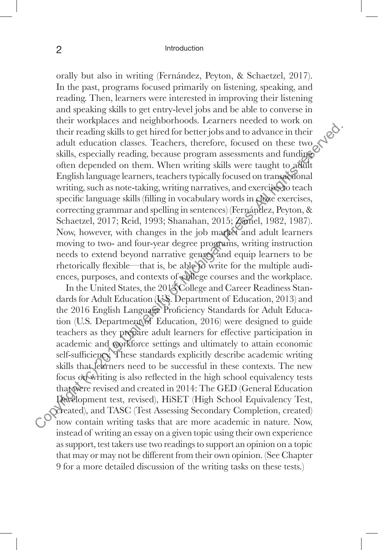#### 2 Introduction

orally but also in writing (Fernández, Peyton, & Schaetzel, 2017). In the past, programs focused primarily on listening, speaking, and reading. Then, learners were interested in improving their listening and speaking skills to get entry-level jobs and be able to converse in their workplaces and neighborhoods. Learners needed to work on their reading skills to get hired for better jobs and to advance in their adult education classes. Teachers, therefore, focused on these two skills, especially reading, because program assessments and funding often depended on them. When writing skills were taught to adult English language learners, teachers typically focused on transactional writing, such as note-taking, writing narratives, and exercises to teach specific language skills (filling in vocabulary words in cloze exercises, correcting grammar and spelling in sentences) (Fernández, Peyton, & Schaetzel, 2017; Reid, 1993; Shanahan, 2015; Zamel, 1982, 1987). Now, however, with changes in the job market and adult learners moving to two- and four-year degree programs, writing instruction needs to extend beyond narrative genres and equip learners to be rhetorically flexible—that is, be able to write for the multiple audiences, purposes, and contexts of college courses and the workplace. their reading skills to get hired for better jobs and to advance in their reading skills, especially reading because program assessments and funding<br>offer of energy of the difference, focused on these two skills, especiall

In the United States, the 2018 College and Career Readiness Standards for Adult Education (U.S. Department of Education, 2013) and the 2016 English Language Proficiency Standards for Adult Education (U.S. Department of Education, 2016) were designed to guide teachers as they prepare adult learners for effective participation in academic and workforce settings and ultimately to attain economic self-sufficiency. These standards explicitly describe academic writing skills that learners need to be successful in these contexts. The new focus on writing is also reflected in the high school equivalency tests that were revised and created in 2014: The GED (General Education Development test, revised), HiSET (High School Equivalency Test, created), and TASC (Test Assessing Secondary Completion, created) now contain writing tasks that are more academic in nature. Now, instead of writing an essay on a given topic using their own experience as support, test takers use two readings to support an opinion on a topic that may or may not be different from their own opinion. (See Chapter 9 for a more detailed discussion of the writing tasks on these tests.)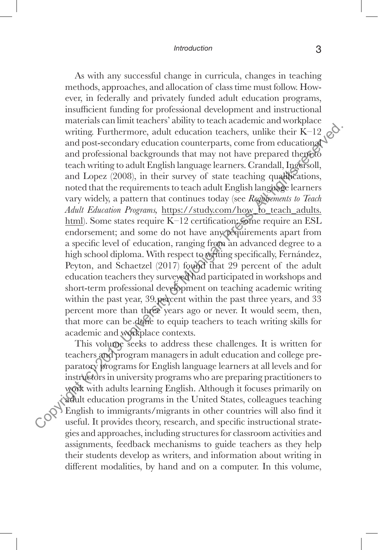#### *Introduction* 3

As with any successful change in curricula, changes in teaching methods, approaches, and allocation of class time must follow. However, in federally and privately funded adult education programs, insufficient funding for professional development and instructional materials can limit teachers' ability to teach academic and workplace writing. Furthermore, adult education teachers, unlike their K–12 and post-secondary education counterparts, come from educational and professional backgrounds that may not have prepared them to teach writing to adult English language learners. Crandall, Ingersoll, and Lopez (2008), in their survey of state teaching qualifications, noted that the requirements to teach adult English language learners vary widely, a pattern that continues today (see *Requirements to Teach Adult Education Programs,* https://study.com/how\_to\_teach\_adults. html). Some states require K-12 certification; some require an ESL endorsement; and some do not have any requirements apart from a specific level of education, ranging from an advanced degree to a high school diploma. With respect to writing specifically, Fernández, Peyton, and Schaetzel (2017) found that 29 percent of the adult education teachers they surveyed had participated in workshops and short-term professional development on teaching academic writing within the past year, 39 percent within the past three years, and 33 percent more than three years ago or never. It would seem, then, that more can be done to equip teachers to teach writing skills for academic and workplace contexts. writing. Furthermore, adult education teachers, unlike their K-12 and post-secondary education counterparts, come from education<br>and post-secondary education counterparts, come from education<br>and Lopez (2008), in their su

This volume seeks to address these challenges. It is written for teachers and program managers in adult education and college preparatory programs for English language learners at all levels and for instructors in university programs who are preparing practitioners to work with adults learning English. Although it focuses primarily on adult education programs in the United States, colleagues teaching English to immigrants/migrants in other countries will also find it useful. It provides theory, research, and specific instructional strategies and approaches, including structures for classroom activities and assignments, feedback mechanisms to guide teachers as they help their students develop as writers, and information about writing in different modalities, by hand and on a computer. In this volume,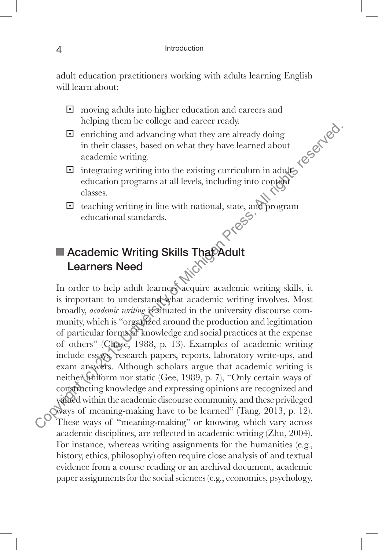adult education practitioners working with adults learning English will learn about:

- $\Box$  moving adults into higher education and careers and helping them be college and career ready.
- $\Box$  enriching and advancing what they are already doing in their classes, based on what they have learned about academic writing. Sexting the existing curriculum in adults of the existing curriculum in adults of the existing curriculum in adults of the existing curriculum in adults of the existing curriculum in adults of the existing curriculum in ad
- education programs at all levels, including into content classes.
- **E** teaching writing in line with national, state, and program educational standards. educational standards.

## **Academic Writing Skills That Adult** Learners Need

In order to help adult learners acquire academic writing skills, it is important to understand what academic writing involves. Most broadly, *academic writing* is situated in the university discourse community, which is "organized around the production and legitimation of particular forms of knowledge and social practices at the expense of others" (Chase, 1988, p. 13). Examples of academic writing include essays, research papers, reports, laboratory write-ups, and exam answers. Although scholars argue that academic writing is neither uniform nor static (Gee, 1989, p. 7), "Only certain ways of constructing knowledge and expressing opinions are recognized and valued within the academic discourse community, and these privileged ways of meaning-making have to be learned" (Tang, 2013, p. 12). These ways of "meaning-making" or knowing, which vary across academic disciplines, are reflected in academic writing (Zhu, 2004). For instance, whereas writing assignments for the humanities (e.g., history, ethics, philosophy) often require close analysis of and textual evidence from a course reading or an archival document, academic paper assignments for the social sciences (e.g., economics, psychology, Equitible and absorbing that they are also<br>the length and advancing what they are already doing<br>in their classes, based on what they have learned about<br>accelering writing into the existing curriculum in adults<br>clucation p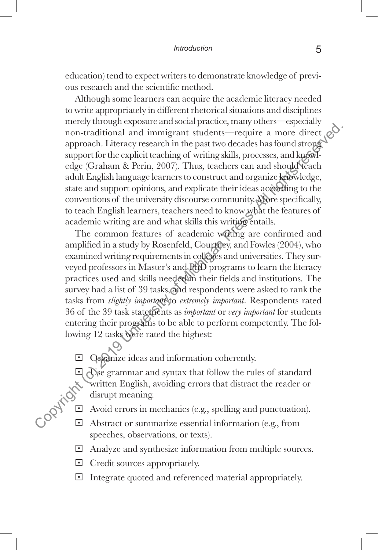education) tend to expect writers to demonstrate knowledge of previous research and the scientific method.

Although some learners can acquire the academic literacy needed to write appropriately in different rhetorical situations and disciplines merely through exposure and social practice, many others—especially non-traditional and immigrant students—require a more direct approach. Literacy research in the past two decades has found strong support for the explicit teaching of writing skills, processes, and knowledge (Graham & Perin, 2007). Thus, teachers can and should teach adult English language learners to construct and organize knowledge, state and support opinions, and explicate their ideas according to the conventions of the university discourse community. More specifically, to teach English learners, teachers need to know what the features of academic writing are and what skills this writing entails. mentry university and immigrant succession phases. The specifies the equitor and interact opproach. Literacy research in the past two decades has found strongs support for the explicit teaching of whing skills, processes,

The common features of academic writing are confirmed and amplified in a study by Rosenfeld, Courtney, and Fowles (2004), who examined writing requirements in colleges and universities. They surveyed professors in Master's and PhD programs to learn the literacy practices used and skills needed in their fields and institutions. The survey had a list of 39 tasks, and respondents were asked to rank the tasks from *slightly important* to *extremely important*. Respondents rated 36 of the 39 task statements as *important* or *very important* for students entering their programs to be able to perform competently. The following 12 tasks were rated the highest:

□ Organize ideas and information coherently.

 $\Box$  Use grammar and syntax that follow the rules of standard written English, avoiding errors that distract the reader or disrupt meaning.

- § Avoid errors in mechanics (e.g., spelling and punctuation).
- $\Box$  Abstract or summarize essential information (e.g., from speeches, observations, or texts).
- § Analyze and synthesize information from multiple sources.
- **□** Credit sources appropriately.
- § Integrate quoted and referenced material appropriately.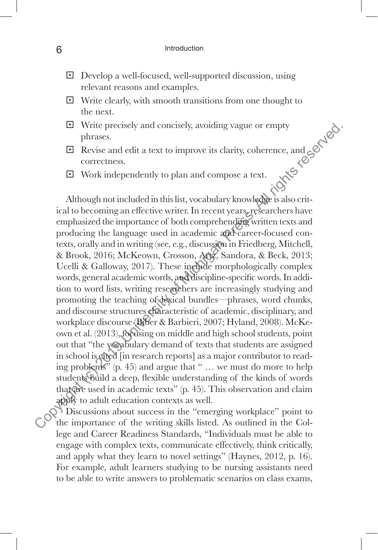- § Develop a well-focused, well-supported discussion, using relevant reasons and examples.
- $\Box$  Write clearly, with smooth transitions from one thought to the next.
- § Write precisely and concisely, avoiding vague or empty phrases.
- $\Box$  Revise and edit a text to improve its clarity, coherence, and correctness.
- § Work independently to plan and compose a text.

Although not included in this list, vocabulary knowledge is also critical to becoming an effective writer. In recent years, researchers have emphasized the importance of both comprehending written texts and producing the language used in academic and career-focused contexts, orally and in writing (see, e.g., discussion in Friedberg, Mitchell, & Brook, 2016; McKeown, Crosson, Artz, Sandora, & Beck, 2013; Ucelli & Galloway, 2017). These include morphologically complex words, general academic words, and discipline-specific words. In addition to word lists, writing researchers are increasingly studying and promoting the teaching of dexical bundles—phrases, word chunks, and discourse structures characteristic of academic, disciplinary, and workplace discourse (Biber & Barbieri, 2007; Hyland, 2008). McKeown et al. (2013), focusing on middle and high school students, point out that "the vocabulary demand of texts that students are assigned in school is cited [in research reports] as a major contributor to reading problems<sup>35</sup> (p. 45) and argue that " $\ldots$  we must do more to help students build a deep, flexible understanding of the kinds of words that are used in academic texts" (p. 45). This observation and claim apply to adult education contexts as well. Let Write precisely and concisely, avoiding vague or empty<br>
phrases.<br>
El Revise and cdit a text to improve its clarity, coherence, and  $\epsilon$ <br>
Correctness.<br>
Correctness.<br>
Correctness.<br>
Correctness.<br>
Correctness.<br>
Correctnes

Discussions about success in the "emerging workplace" point to the importance of the writing skills listed. As outlined in the College and Career Readiness Standards, "Individuals must be able to engage with complex texts, communicate effectively, think critically, and apply what they learn to novel settings" (Haynes, 2012, p. 16). For example, adult learners studying to be nursing assistants need to be able to write answers to problematic scenarios on class exams,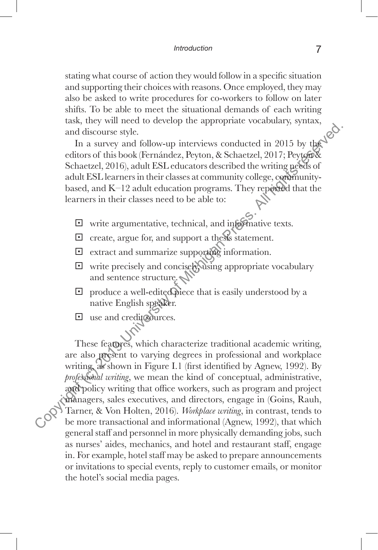stating what course of action they would follow in a specific situation and supporting their choices with reasons. Once employed, they may also be asked to write procedures for co-workers to follow on later shifts. To be able to meet the situational demands of each writing task, they will need to develop the appropriate vocabulary, syntax, and discourse style.

In a survey and follow-up interviews conducted in 2015 by the editors of this book (Fernández, Peyton, & Schaetzel, 2017; Peyton & Schaetzel, 2016), adult ESL educators described the writing needs of adult ESL learners in their classes at community college, communitybased, and  $K-12$  adult education programs. They reported that the learners in their classes need to be able to:

- § write argumentative, technical, and informative texts.
- § create, argue for, and support a thesis statement.
- § extract and summarize supporting information.
- § write precisely and concisely, using appropriate vocabulary and sentence structure.
- $\Box$  produce a well-edited piece that is easily understood by a native English speaker.
- □ use and credit sources.

These features, which characterize traditional academic writing, are also present to varying degrees in professional and workplace writing, as shown in Figure I.1 (first identified by Agnew, 1992). By *professional writing*, we mean the kind of conceptual, administrative, and policy writing that office workers, such as program and project managers, sales executives, and directors, engage in (Goins, Rauh, Tarner, & Von Holten, 2016). *Workplace writing*, in contrast, tends to be more transactional and informational (Agnew, 1992), that which general staff and personnel in more physically demanding jobs, such as nurses' aides, mechanics, and hotel and restaurant staff, engage in. For example, hotel staff may be asked to prepare announcements or invitations to special events, reply to customer emails, or monitor the hotel's social media pages. and discourse style.<br>
In a survey and follow-up interviews conducted in 2015 by the<br>
cditors of this book (Fermandex, Peyton, & Schactzel, 2019; Peytops<br>
Schactzel, 2016), adult ESI. education programs. They represent<br>
ad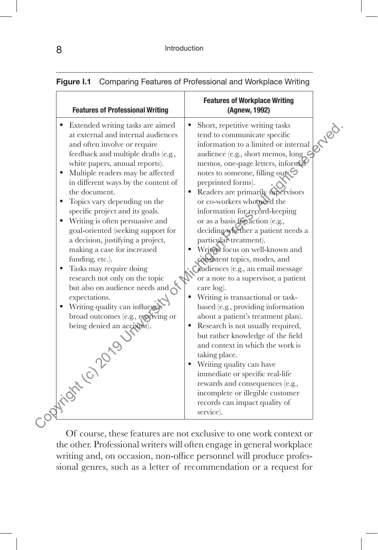| <b>Features of Professional Writing</b>                                                                                                                                                                                                                                                                                                                                                                                                                                                                                                                                                                                                                                                                                                                                                            | <b>Features of Workplace Writing</b><br>(Agnew, 1992)                                                                                                                                                                                                                                                                                                                                                                                                                                                                                                                                                                                                                                                                                                                                                                                                                                                                                                                                                                                                              |
|----------------------------------------------------------------------------------------------------------------------------------------------------------------------------------------------------------------------------------------------------------------------------------------------------------------------------------------------------------------------------------------------------------------------------------------------------------------------------------------------------------------------------------------------------------------------------------------------------------------------------------------------------------------------------------------------------------------------------------------------------------------------------------------------------|--------------------------------------------------------------------------------------------------------------------------------------------------------------------------------------------------------------------------------------------------------------------------------------------------------------------------------------------------------------------------------------------------------------------------------------------------------------------------------------------------------------------------------------------------------------------------------------------------------------------------------------------------------------------------------------------------------------------------------------------------------------------------------------------------------------------------------------------------------------------------------------------------------------------------------------------------------------------------------------------------------------------------------------------------------------------|
| Extended writing tasks are aimed<br>٠<br>at external and internal audiences<br>and often involve or require<br>feedback and multiple drafts (e.g.,<br>white papers, annual reports).<br>Multiple readers may be affected<br>٠<br>in different ways by the content of<br>the document.<br>Topics vary depending on the<br>٠<br>specific project and its goals.<br>Writing is often persuasive and<br>٠<br>goal-oriented (seeking support for<br>a decision, justifying a project,<br>making a case for increased<br>funding, etc.).<br>Tasks may require doing<br>٠<br>research not only on the topic<br>but also on audience needs and $\bigwedge$<br>expectations.<br>Writing quality can influence<br>broad outcomes (e.g., receiving or<br>being denied an account).<br>Collins of the Collapse | Short, repetitive writing tasks<br>index.<br>tend to communicate specific<br>information to a limited or internal<br>audience (e.g., short memos, long<br>memos, one-page letters, informal<br>notes to someone, filling out<br>preprinted forms).<br>Readers are primarily supervisors<br>or co-workers who need the<br>information for record-keeping<br>or as a basis for action (e.g.,<br>deciding whether a patient needs a<br>particular treatment).<br>Writers focus on well-known and<br>consistent topics, modes, and<br>audiences (e.g., an email message<br>or a note to a supervisor, a patient<br>care log).<br>Writing is transactional or task-<br>based (e.g., providing information<br>about a patient's treatment plan).<br>Research is not usually required,<br>but rather knowledge of the field<br>and context in which the work is<br>taking place.<br>Writing quality can have<br>٠<br>immediate or specific real-life<br>rewards and consequences (e.g.,<br>incomplete or illegible customer<br>records can impact quality of<br>service). |

#### **Figure I.1** Comparing Features of Professional and Workplace Writing

Of course, these features are not exclusive to one work context or the other. Professional writers will often engage in general workplace writing and, on occasion, non-office personnel will produce professional genres, such as a letter of recommendation or a request for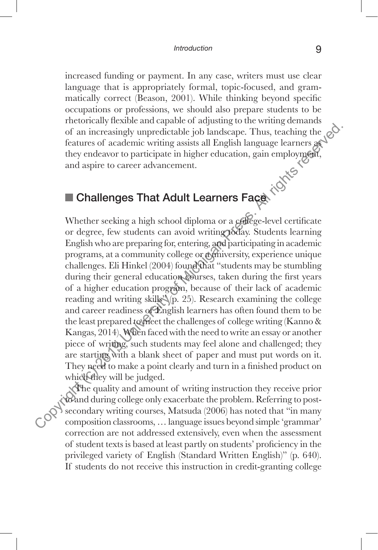increased funding or payment. In any case, writers must use clear language that is appropriately formal, topic-focused, and grammatically correct (Beason, 2001). While thinking beyond specific occupations or professions, we should also prepare students to be rhetorically flexible and capable of adjusting to the writing demands of an increasingly unpredictable job landscape. Thus, teaching the features of academic writing assists all English language learners as they endeavor to participate in higher education, gain employment, and aspire to career advancement.

## Challenges That Adult Learners Face

Whether seeking a high school diploma or a college-level certificate or degree, few students can avoid writing today. Students learning English who are preparing for, entering, and participating in academic programs, at a community college or a university, experience unique challenges. Eli Hinkel (2004) found that "students may be stumbling during their general education courses, taken during the first years of a higher education program, because of their lack of academic reading and writing skills $\sqrt[3]{p}$ . 25). Research examining the college and career readiness of English learners has often found them to be the least prepared to meet the challenges of college writing (Kanno & Kangas, 2014). When faced with the need to write an essay or another piece of writing, such students may feel alone and challenged; they are starting with a blank sheet of paper and must put words on it. They need to make a point clearly and turn in a finished product on which they will be judged. Consideration and the matrix of a interasingly unpredictable job landscape. Thus, teaching the features of academic writing assiss all English language learners get they endeavor to participate in higher education, gain em

The quality and amount of writing instruction they receive prior to and during college only exacerbate the problem. Referring to postsecondary writing courses, Matsuda (2006) has noted that "in many composition classrooms, … language issues beyond simple 'grammar' correction are not addressed extensively, even when the assessment of student texts is based at least partly on students' proficiency in the privileged variety of English (Standard Written English)" (p. 640). If students do not receive this instruction in credit-granting college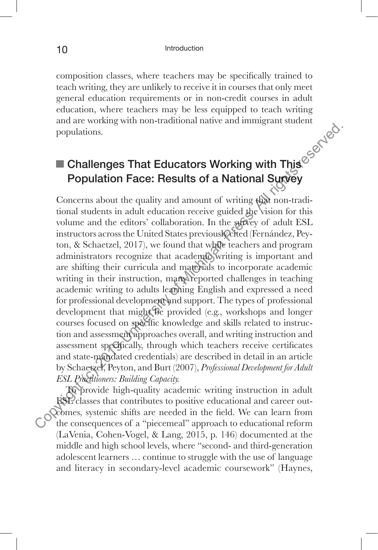composition classes, where teachers may be specifically trained to teach writing, they are unlikely to receive it in courses that only meet general education requirements or in non-credit courses in adult education, where teachers may be less equipped to teach writing and are working with non-traditional native and immigrant student populations.

## Challenges That Educators Working with This Population Face: Results of a National Survey

Concerns about the quality and amount of writing that non-traditional students in adult education receive guided the vision for this volume and the editors' collaboration. In the survey of adult ESL instructors across the United States previously cited (Fernández, Peyton, & Schaetzel, 2017), we found that while teachers and program administrators recognize that academic writing is important and are shifting their curricula and materials to incorporate academic writing in their instruction, many reported challenges in teaching academic writing to adults learning English and expressed a need for professional development and support. The types of professional development that might be provided (e.g., workshops and longer courses focused on specific knowledge and skills related to instruction and assessment approaches overall, and writing instruction and assessment specifically, through which teachers receive certificates and state-mandated credentials) are described in detail in an article by Schaetzel, Peyton, and Burt (2007), *Professional Development for Adult ESL Practitioners: Building Capacity.*  **Computerior Constrained Scheme Constrained Scheme Constrained Supplement (c)**<br> **Concerns about the quality and amount of writing the concerns about the quality and amount of writing the momental<br>
concerns about the edi** 

To provide high-quality academic writing instruction in adult ESL classes that contributes to positive educational and career outcomes, systemic shifts are needed in the field. We can learn from the consequences of a "piecemeal" approach to educational reform (LaVenia, Cohen-Vogel, & Lang, 2015, p. 146) documented at the middle and high school levels, where "second- and third-generation adolescent learners … continue to struggle with the use of language and literacy in secondary-level academic coursework" (Haynes,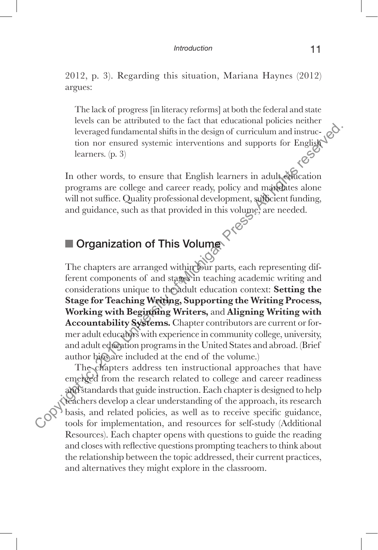2012, p. 3). Regarding this situation, Mariana Haynes (2012) argues:

The lack of progress [in literacy reforms] at both the federal and state levels can be attributed to the fact that educational policies neither leveraged fundamental shifts in the design of curriculum and instruction nor ensured systemic interventions and supports for English<br>learners. (p. 3) learners. (p. 3)

In other words, to ensure that English learners in adult education programs are college and career ready, policy and mandates alone will not suffice. Quality professional development, sufficient funding, and guidance, such as that provided in this volume, are needed.

## Organization of This Volume

The chapters are arranged within four parts, each representing different components of and stages in teaching academic writing and considerations unique to the adult education context: **Setting the Stage for Teaching Writing, Supporting the Writing Process, Working with Beginning Writers,** and **Aligning Writing with Accountability Systems.** Chapter contributors are current or former adult educators with experience in community college, university, and adult education programs in the United States and abroad. (Brief author bios are included at the end of the volume.) Exerce the control of the signal consideration in the comparison of the angle and control of the angle and control of the microsic of Michigan Press. (p. 3)<br>
In other words, to ensure that English learners in adult edicat

The chapters address ten instructional approaches that have emerged from the research related to college and career readiness and standards that guide instruction. Each chapter is designed to help teachers develop a clear understanding of the approach, its research basis, and related policies, as well as to receive specific guidance, tools for implementation, and resources for self-study (Additional Resources). Each chapter opens with questions to guide the reading and closes with reflective questions prompting teachers to think about the relationship between the topic addressed, their current practices, and alternatives they might explore in the classroom.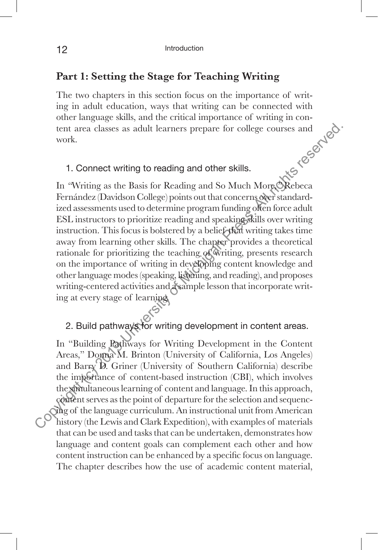#### **Part 1: Setting the Stage for Teaching Writing**

The two chapters in this section focus on the importance of writing in adult education, ways that writing can be connected with<br>other language skills, and the critical importance of writing in con-<br>tent area classes as adult learners prepare for college courses and<br>work.<br>1. Connect wr other language skills, and the critical importance of writing in content area classes as adult learners prepare for college courses and work.

#### 1. Connect writing to reading and other skills.

In *"*Writing as the Basis for Reading and So Much More*,"* Rebeca Fernández (Davidson College) points out that concerns over standardized assessments used to determine program funding often force adult ESL instructors to prioritize reading and speaking skills over writing instruction. This focus is bolstered by a belief that writing takes time away from learning other skills. The chapter provides a theoretical rationale for prioritizing the teaching of writing, presents research on the importance of writing in developing content knowledge and other language modes (speaking, listening, and reading), and proposes writing-centered activities and a sample lesson that incorporate writing at every stage of learning. tent area classes as adult learners prepare for college courses and<br>work.<br>
York.<br>
1. Connect writing to reading and other skills.<br>
In "Writing as the Basis for Reading and So Much More Nebcca<br>
Fernández (Davidson College)

#### 2. Build pathways for writing development in content areas.

In "Building Pathways for Writing Development in the Content Areas," Donna M. Brinton (University of California, Los Angeles) and Barry D. Griner (University of Southern California) describe the importance of content-based instruction (CBI), which involves the simultaneous learning of content and language. In this approach, content serves as the point of departure for the selection and sequencing of the language curriculum. An instructional unit from American history (the Lewis and Clark Expedition), with examples of materials that can be used and tasks that can be undertaken, demonstrates how language and content goals can complement each other and how content instruction can be enhanced by a specific focus on language. The chapter describes how the use of academic content material,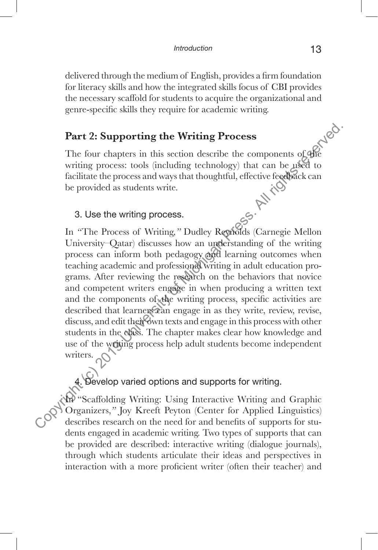delivered through the medium of English, provides a firm foundation for literacy skills and how the integrated skills focus of CBI provides the necessary scaffold for students to acquire the organizational and genre-specific skills they require for academic writing.

#### **Part 2: Supporting the Writing Process**

The four chapters in this section describe the components of the writing process: tools (including technology) that can be used to facilitate the process and ways that thoughtful, effective feedback can be provided as students write. In "The Process of Writing," Dudley Reynolds (Carnegie Mellon)

#### 3. Use the writing process.

University–Qatar) discusses how an understanding of the writing process can inform both pedagogy and learning outcomes when teaching academic and professional writing in adult education programs. After reviewing the research on the behaviors that novice and competent writers engage in when producing a written text and the components of the writing process, specific activities are described that learners can engage in as they write, review, revise, discuss, and edit their own texts and engage in this process with other students in the class. The chapter makes clear how knowledge and use of the writing process help adult students become independent writers. **Part 2: Supporting the Writing Process**<br>
The four chapters in this section describe the components of the<br>
writing process: tools (including technology) that can be pised to<br>
facilitate the process and ways that thoughtf

## 4. Develop varied options and supports for writing.

In "Scaffolding Writing: Using Interactive Writing and Graphic Organizers,*"* Joy Kreeft Peyton (Center for Applied Linguistics) describes research on the need for and benefits of supports for students engaged in academic writing. Two types of supports that can be provided are described: interactive writing (dialogue journals), through which students articulate their ideas and perspectives in interaction with a more proficient writer (often their teacher) and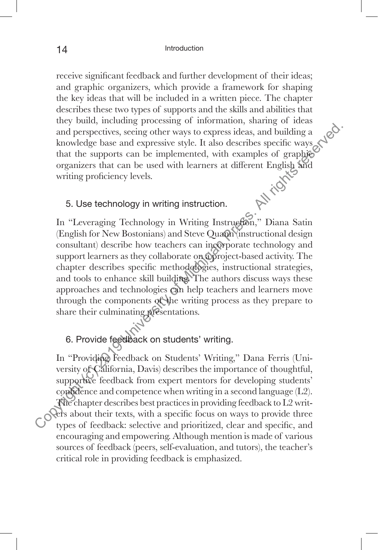receive significant feedback and further development of their ideas; and graphic organizers, which provide a framework for shaping the key ideas that will be included in a written piece. The chapter describes these two types of supports and the skills and abilities that they build, including processing of information, sharing of ideas and perspectives, seeing other ways to express ideas, and building a knowledge base and expressive style. It also describes specific ways that the supports can be implemented, with examples of graphic organizers that can be used with learners at different English and<br>writing proficiency levels.<br>5. Use technology: writing proficiency levels.

#### 5. Use technology in writing instruction.

In "Leveraging Technology in Writing Instruction," Diana Satin (English for New Bostonians) and Steve Quann (instructional design consultant) describe how teachers can incorporate technology and support learners as they collaborate on a project-based activity. The chapter describes specific methodologies, instructional strategies, and tools to enhance skill building. The authors discuss ways these approaches and technologies can help teachers and learners move through the components of the writing process as they prepare to share their culminating presentations. Copyright (c) and many complete the support of the supportives, seeing other ways to express ideas, and building a<br>
knowledge base and expressive style. It also describes specific ways<br>
that the supports can be implemented

#### 6. Provide feedback on students' writing.

In "Providing Feedback on Students' Writing," Dana Ferris (University of California, Davis) describes the importance of thoughtful, supportive feedback from expert mentors for developing students' confidence and competence when writing in a second language  $(L2)$ . The chapter describes best practices in providing feedback to L2 writers about their texts, with a specific focus on ways to provide three types of feedback: selective and prioritized, clear and specific, and encouraging and empowering. Although mention is made of various sources of feedback (peers, self-evaluation, and tutors), the teacher's critical role in providing feedback is emphasized.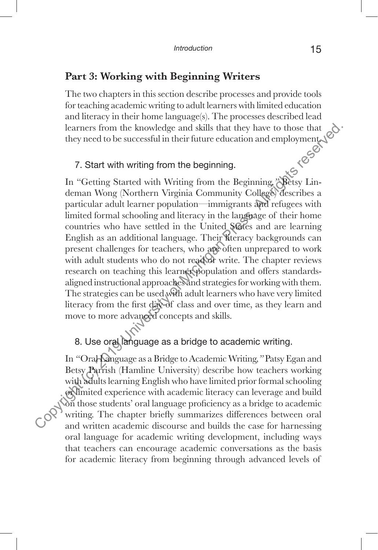#### **Part 3: Working with Beginning Writers**

The two chapters in this section describe processes and provide tools for teaching academic writing to adult learners with limited education and literacy in their home language(s). The processes described lead learners from the knowledge and skills that they have to those that they need to be successful in their future education and employment.

#### 7. Start with writing from the beginning.

In "Getting Started with Writing from the Beginning*,"* Betsy Lindeman Wong (Northern Virginia Community College) describes a particular adult learner population—immigrants and refugees with limited formal schooling and literacy in the language of their home countries who have settled in the United States and are learning English as an additional language. Their literacy backgrounds can present challenges for teachers, who are often unprepared to work with adult students who do not read or write. The chapter reviews research on teaching this learner population and offers standardsaligned instructional approaches and strategies for working with them. The strategies can be used with adult learners who have very limited literacy from the first day of class and over time, as they learn and move to more advanced concepts and skills. Learners from the knowledge and skills that they have to those that<br>they need to be successful in their future education and employment<br>
7. Start with writing from the beginning. College<br>
1. "Getting Started with Writing

### 8. Use oral language as a bridge to academic writing.

In *"*Oral Language as a Bridge to Academic Writing*,"* Patsy Egan and Betsy Parrish (Hamline University) describe how teachers working with adults learning English who have limited prior formal schooling or limited experience with academic literacy can leverage and build on those students' oral language proficiency as a bridge to academic writing. The chapter briefly summarizes differences between oral and written academic discourse and builds the case for harnessing oral language for academic writing development, including ways that teachers can encourage academic conversations as the basis for academic literacy from beginning through advanced levels of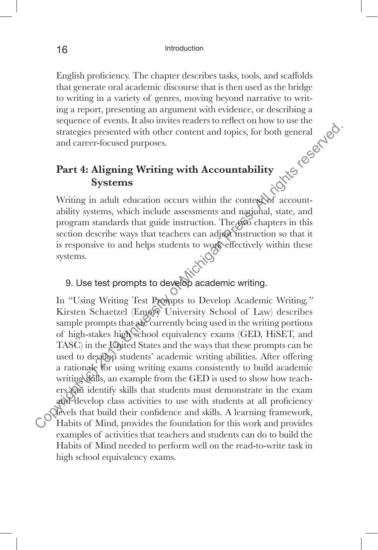English proficiency. The chapter describes tasks, tools, and scaffolds that generate oral academic discourse that is then used as the bridge to writing in a variety of genres, moving beyond narrative to writing a report, presenting an argument with evidence, or describing a<br>sequence of events. It also invites readers to reflect on how to use the<br>strategies presented with other content and topics, for both general<br>and career-f sequence of events. It also invites readers to reflect on how to use the strategies presented with other content and topics, for both general and career-focused purposes.

## **Part 4: Aligning Writing with Accountability Systems**

Writing in adult education occurs within the context of accountability systems, which include assessments and national, state, and program standards that guide instruction. The two chapters in this section describe ways that teachers can adjust instruction so that it is responsive to and helps students to work effectively within these systems.

# 9. Use test prompts to develop academic writing.

In "Using Writing Test Prompts to Develop Academic Writing*,"*  Kirsten Schaetzel (Emory University School of Law) describes sample prompts that are currently being used in the writing portions of high-stakes high school equivalency exams (GED, HiSET, and TASC) in the United States and the ways that these prompts can be used to develop students' academic writing abilities. After offering a rationale for using writing exams consistently to build academic writing tills, an example from the GED is used to show how teachers can identify skills that students must demonstrate in the exam and develop class activities to use with students at all proficiency levels that build their confidence and skills. A learning framework, Habits of Mind, provides the foundation for this work and provides examples of activities that teachers and students can do to build the Habits of Mind needed to perform well on the read-to-write task in high school equivalency exams. Example 1. The University of Michigan Control of Michigan Control of Michigan Controls of Michigan Press. The Systems Writing in adult education occurs within the contersed accountability systems. Writing in adult educatio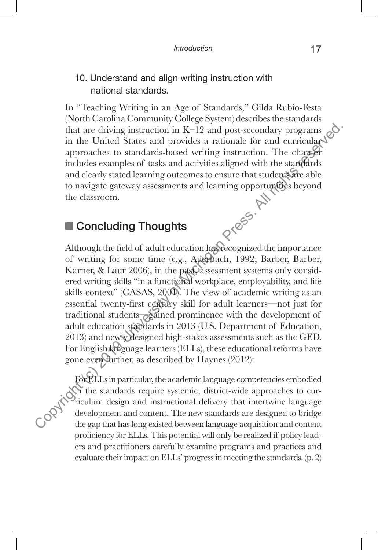#### 10. Understand and align writing instruction with national standards.

In "Teaching Writing in an Age of Standards," Gilda Rubio-Festa (North Carolina Community College System) describes the standards that are driving instruction in  $K-12$  and post-secondary programs in the United States and provides a rationale for and curricular approaches to standards-based writing instruction. The chapter includes examples of tasks and activities aligned with the standards and clearly stated learning outcomes to ensure that students are able to navigate gateway assessments and learning opportunities beyond<br>the classroom.<br>Concluding Thoughts the classroom.

## ■ Concluding Thoughts

Although the field of adult education has recognized the importance of writing for some time (e.g., Auerbach, 1992; Barber, Barber, Karner, & Laur 2006), in the past assessment systems only considered writing skills "in a functional workplace, employability, and life skills context" (CASAS, 2000). The view of academic writing as an essential twenty-first century skill for adult learners—not just for traditional students—gained prominence with the development of adult education standards in 2013 (U.S. Department of Education, 2013) and newly designed high-stakes assessments such as the GED. For English language learners (ELLs), these educational reforms have gone even further, as described by Haynes (2012): The University interaction in K–12 and post-secondary programs (in the United States and provides a rational correction<br>approaches to standards-based virting instruction. The chapper<br>includes examples of tasks and activit

For ELLs in particular, the academic language competencies embodied In the standards require systemic, district-wide approaches to curriculum design and instructional delivery that intertwine language development and content. The new standards are designed to bridge the gap that has long existed between language acquisition and content proficiency for ELLs. This potential will only be realized if policy leaders and practitioners carefully examine programs and practices and evaluate their impact on ELLs' progress in meeting the standards. (p. 2)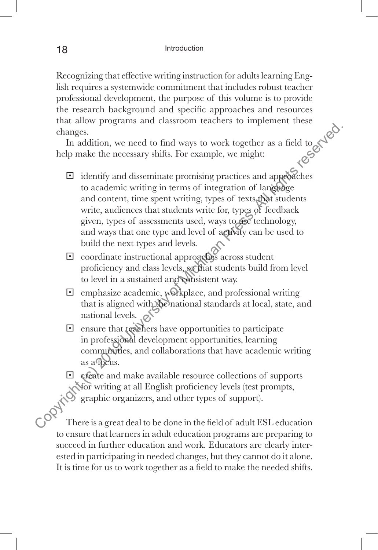Recognizing that effective writing instruction for adults learning English requires a systemwide commitment that includes robust teacher professional development, the purpose of this volume is to provide the research background and specific approaches and resources that allow programs and classroom teachers to implement these changes.

In addition, we need to find ways to work together as a field to help make the necessary shifts. For example, we might:

- □ identify and disseminate promising practices and approaches  $\Box$  identify and disseminate promising practices and approaches to academic writing in terms of integration of language and content, time spent writing, types of texts that students write, audiences that students write for, types of feedback given, types of assessments used, ways to use technology, and ways that one type and level of activity can be used to build the next types and levels. Copyright (contract of minimals reserved. The addition, we need to find ways to work together as a field to be control. The mass in a matter of microscopy that all disseminate promising practices and approximate and conte
	- $\Box$  coordinate instructional approaches across student proficiency and class levels, so that students build from level to level in a sustained and consistent way.
	- $\Box$  emphasize academic, workplace, and professional writing that is aligned with the national standards at local, state, and national levels.  $\circ$
	- $\Box$  ensure that teachers have opportunities to participate in professional development opportunities, learning communities, and collaborations that have academic writing as a focus.
	- § create and make available resource collections of supports for writing at all English proficiency levels (test prompts, graphic organizers, and other types of support).

There is a great deal to be done in the field of adult ESL education to ensure that learners in adult education programs are preparing to succeed in further education and work. Educators are clearly interested in participating in needed changes, but they cannot do it alone. It is time for us to work together as a field to make the needed shifts.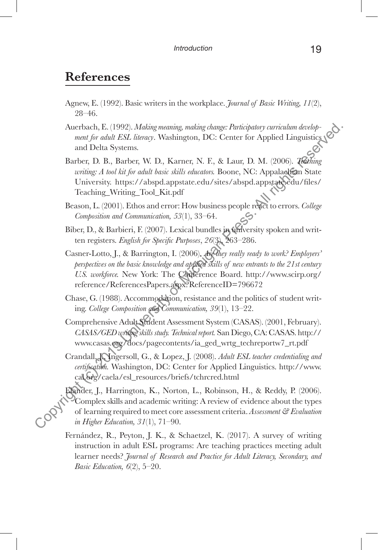## **References**

- Agnew, E. (1992). Basic writers in the workplace. *Journal of Basic Writing, 11*(2), 28–46.
- Auerbach, E. (1992). *Making meaning, making change: Participatory curriculum development for adult ESL literacy*. Washington, DC: Center for Applied Linguistics and Delta Systems.
- Barber, D. B., Barber, W. D., Karner, N. F., & Laur, D. M. (2006). *Teaching writing: A tool kit for adult basic skills educators.* Boone, NC: Appalachian State University. https://abspd.appstate.edu/sites/abspd.appstate.edu/files/ Teaching\_Writing\_Tool\_Kit.pdf
- Beason, L. (2001). Ethos and error: How business people react to errors. *College Composition and Communication, 53*(1), 33–64.
- Biber, D., & Barbieri, F. (2007). Lexical bundles in university spoken and written registers. *English for Specific Purposes*, *26*(3), 263–286.
- Casner-Lotto, J., & Barrington, I. (2006). *Are they really ready to work? Employers' perspectives on the basic knowledge and applied skills of new entrants to the 21st century U.S. workforce.* New York: The Conference Board. http://www.scirp.org/ reference/ReferencesPapers.aspx?ReferenceID=796672
- Chase, G. (1988). Accommodation, resistance and the politics of student writing. *College Composition and Communication, 39*(1), 13–22.
- Comprehensive Adult Student Assessment System (CASAS). (2001, February). *CASAS/GED writing skills study. Technical report.* San Diego, CA: CASAS. http:// www.casas.org/docs/pagecontents/ia\_ged\_wrtg\_techreportw7\_rt.pdf
- Crandall, J. Ingersoll, G., & Lopez, J. (2008). Adult ESL teacher credentialing and *certification.* Washington, DC: Center for Applied Linguistics. http://www. cal.org/caela/esl\_resources/briefs/tchrcred.html
- Elander, J., Harrington, K., Norton, L., Robinson, H., & Reddy, P. (2006). Complex skills and academic writing: A review of evidence about the types of learning required to meet core assessment criteria. *Assessment & Evaluation in Higher Education, 31*(1), 71–90. Auerbach, F. (1992). *Making meaning, making domge: Participatory carriculum developeration* and Delta Systems.<br>
and Delta Systems.<br>
and Delta Systems.<br>
Barber, V. D., Karner, N. E., & Laur, D. M. (2006). *Zehing*<br>
artifu
	- Fernández, R., Peyton, J. K., & Schaetzel, K. (2017). A survey of writing instruction in adult ESL programs: Are teaching practices meeting adult learner needs? *Journal of Research and Practice for Adult Literacy, Secondary, and Basic Education, 6*(2), 5–20.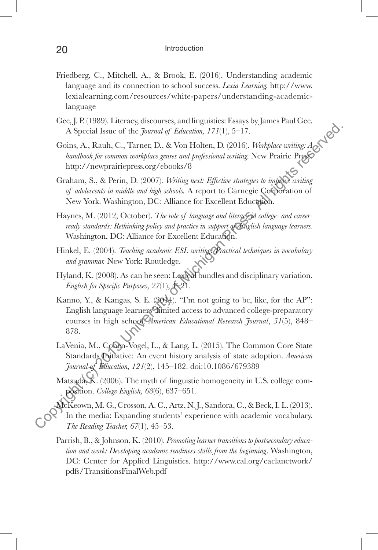- Friedberg, C., Mitchell, A., & Brook, E. (2016). Understanding academic language and its connection to school success. *Lexia Learning.* http://www. lexialearning.com/resources/white-papers/understanding-academiclanguage
- Gee, J. P. (1989). Literacy, discourses, and linguistics: Essays by James Paul Gee. A Special Issue of the *Journal of Education, 171*(1), 5–17.
- Goins, A., Rauh, C., Tarner, D., & Von Holten, D. (2016). *Workplace writing: A handbook for common workplace genres and professional writing.* New Prairie Press. http://newprairiepress.org/ebooks/8
- Graham, S., & Perin, D. (2007). *Writing next: Effective strategies to improve writing of adolescents in middle and high schools.* A report to Carnegie Corporation of New York. Washington, DC: Alliance for Excellent Education.
- Haynes, M. (2012, October). The role of language and literacy in college- and career*ready standards: Rethinking policy and practice in support of English language learners.* Washington, DC: Alliance for Excellent Education.
- Hinkel, E. (2004). *Teaching academic ESL writing: Practical techniques in vocabulary and grammar.* New York: Routledge.
- Hyland, K. (2008). As can be seen: Lexical bundles and disciplinary variation. *English for Specific Purposes*, *27*(1), 4–21.
- Kanno, Y., & Kangas, S. E. (2014). "I'm not going to be, like, for the AP": English language learners' limited access to advanced college-preparatory courses in high school. *American Educational Research Journal*, *51*(5), 848– 878. Copyright (c) System and Spin and Copyright (2019). The comparison of Apple and Spin and Spin and The term (2016). With place withing the hundlook for common university of experiment press. All rights reserved press. All
	- LaVenia, M., Cohen-Vogel, L., & Lang, L. (2015). The Common Core State Standards Initiative: An event history analysis of state adoption. *American Journal of Education, 121*(2), 145–182. doi:10.1086/679389
	- Matsuda, K. (2006). The myth of linguistic homogeneity in U.S. college composition. *College English, 68*(6), 637–651.
	- McKeown, M. G., Crosson, A. C., Artz, N. J., Sandora, C., & Beck, I. L. (2013). In the media: Expanding students' experience with academic vocabulary. *The Reading Teacher, 67*(1), 45–53.
	- Parrish, B., & Johnson, K. (2010). *Promoting learner transitions to postsecondary education and work: Developing academic readiness skills from the beginning*. Washington, DC: Center for Applied Linguistics. http://www.cal.org/caelanetwork/ pdfs/TransitionsFinalWeb.pdf